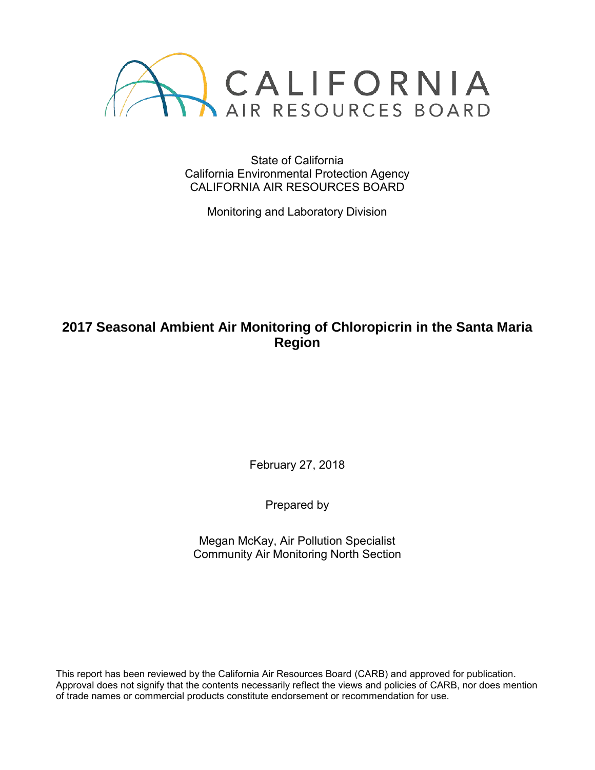

State of California California Environmental Protection Agency CALIFORNIA AIR RESOURCES BOARD

Monitoring and Laboratory Division

# **2017 Seasonal Ambient Air Monitoring of Chloropicrin in the Santa Maria Region**

February 27, 2018

Prepared by

Megan McKay, Air Pollution Specialist Community Air Monitoring North Section

This report has been reviewed by the California Air Resources Board (CARB) and approved for publication. Approval does not signify that the contents necessarily reflect the views and policies of CARB, nor does mention of trade names or commercial products constitute endorsement or recommendation for use.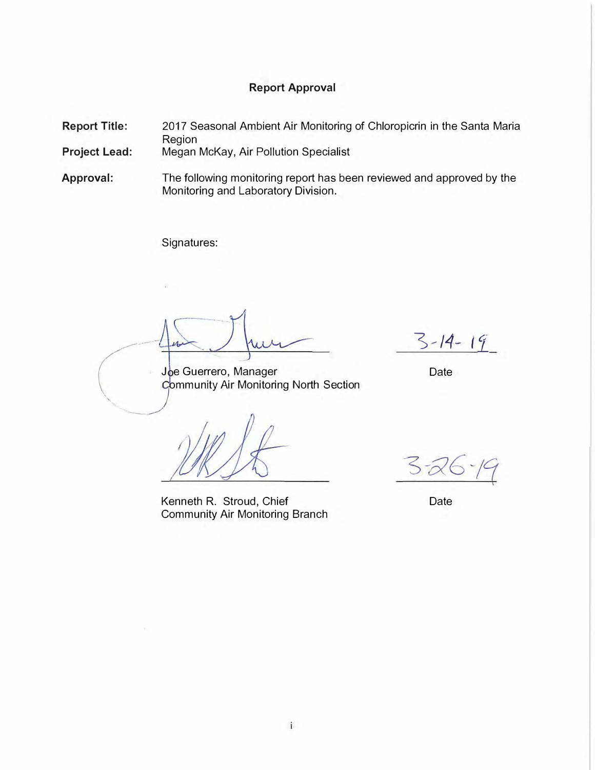# **Report Approval**

**Report Title:** 2017 Seasonal Ambient Air Monitoring of Chloropicrin in the Santa Maria Region

**Project Lead:** Megan McKay, Air Pollution Specialist

**Approval:**  The following monitoring report has been reviewed and approved by the Monitoring and Laboratory Division.

Signatures:

**\_ J**

... -

*Joe Guerrero, Manager* Date *Community Air Monitoring North Section* **ommunity Air Monitoring North Section** 

Kenneth R. Stroud, Chief Community Air Monitoring Branch

*�-14- l'i* 

Date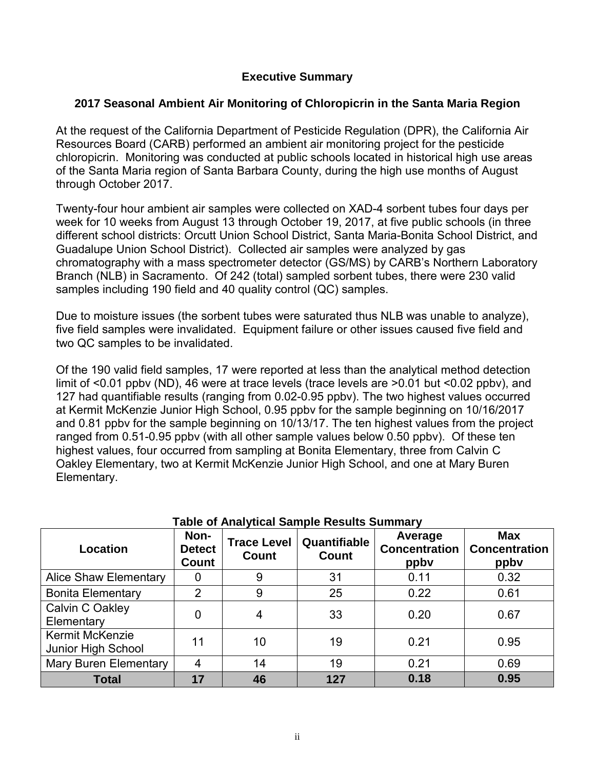# **Executive Summary**

# **2017 Seasonal Ambient Air Monitoring of Chloropicrin in the Santa Maria Region**

At the request of the California Department of Pesticide Regulation (DPR), the California Air Resources Board (CARB) performed an ambient air monitoring project for the pesticide chloropicrin. Monitoring was conducted at public schools located in historical high use areas of the Santa Maria region of Santa Barbara County, during the high use months of August through October 2017.

Twenty-four hour ambient air samples were collected on XAD-4 sorbent tubes four days per week for 10 weeks from August 13 through October 19, 2017, at five public schools (in three different school districts: Orcutt Union School District, Santa Maria-Bonita School District, and Guadalupe Union School District). Collected air samples were analyzed by gas chromatography with a mass spectrometer detector (GS/MS) by CARB's Northern Laboratory Branch (NLB) in Sacramento. Of 242 (total) sampled sorbent tubes, there were 230 valid samples including 190 field and 40 quality control (QC) samples.

Due to moisture issues (the sorbent tubes were saturated thus NLB was unable to analyze), five field samples were invalidated. Equipment failure or other issues caused five field and two QC samples to be invalidated.

Of the 190 valid field samples, 17 were reported at less than the analytical method detection limit of <0.01 ppbv (ND), 46 were at trace levels (trace levels are >0.01 but <0.02 ppbv), and 127 had quantifiable results (ranging from 0.02-0.95 ppbv). The two highest values occurred at Kermit McKenzie Junior High School, 0.95 ppbv for the sample beginning on 10/16/2017 and 0.81 ppbv for the sample beginning on 10/13/17. The ten highest values from the project ranged from 0.51-0.95 ppbv (with all other sample values below 0.50 ppbv). Of these ten highest values, four occurred from sampling at Bonita Elementary, three from Calvin C Oakley Elementary, two at Kermit McKenzie Junior High School, and one at Mary Buren Elementary.

| Location                                     | Non-<br><b>Detect</b><br>Count | <b>Trace Level</b><br><b>Count</b> | Quantifiable<br>Count | Average<br><b>Concentration</b><br>ppby | <b>Max</b><br><b>Concentration</b><br>ppby |
|----------------------------------------------|--------------------------------|------------------------------------|-----------------------|-----------------------------------------|--------------------------------------------|
| <b>Alice Shaw Elementary</b>                 | O                              | 9                                  | 31                    | 0.11                                    | 0.32                                       |
| <b>Bonita Elementary</b>                     | 2                              | 9                                  | 25                    | 0.22                                    | 0.61                                       |
| Calvin C Oakley<br>Elementary                | 0                              | 4                                  | 33                    | 0.20                                    | 0.67                                       |
| <b>Kermit McKenzie</b><br>Junior High School | 11                             | 10                                 | 19                    | 0.21                                    | 0.95                                       |
| <b>Mary Buren Elementary</b>                 | 4                              | 14                                 | 19                    | 0.21                                    | 0.69                                       |
| <b>Total</b>                                 | 17                             | 46                                 | 127                   | 0.18                                    | 0.95                                       |

# **Table of Analytical Sample Results Summary**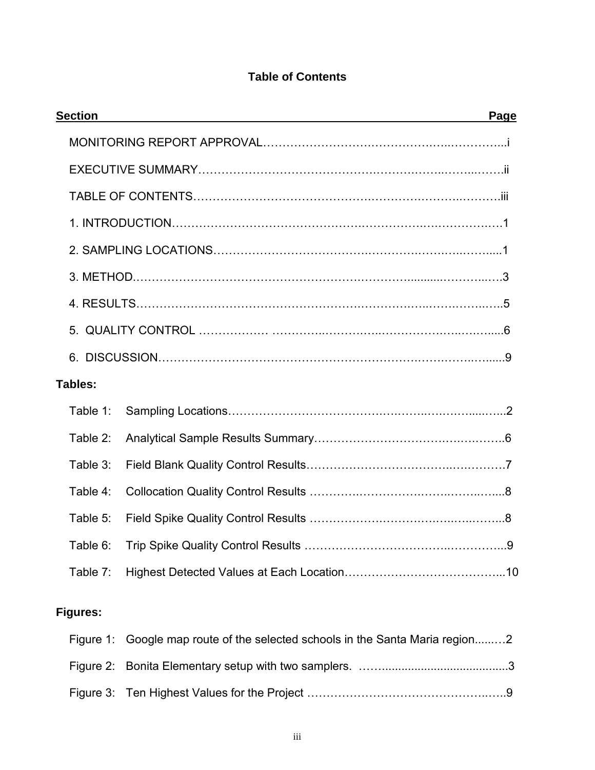# **Table of Contents**

| <b>Section</b>  | Page                                                                |
|-----------------|---------------------------------------------------------------------|
|                 |                                                                     |
|                 |                                                                     |
|                 |                                                                     |
|                 |                                                                     |
|                 |                                                                     |
|                 |                                                                     |
|                 |                                                                     |
|                 |                                                                     |
|                 |                                                                     |
| Tables:         |                                                                     |
| Table 1:        |                                                                     |
| Table 2:        |                                                                     |
| Table 3:        |                                                                     |
| Table 4:        |                                                                     |
| Table 5:        |                                                                     |
| Table 6:        |                                                                     |
| Table 7:        |                                                                     |
| <b>Figures:</b> |                                                                     |
| Figure 1:       | Google map route of the selected schools in the Santa Maria region2 |
|                 |                                                                     |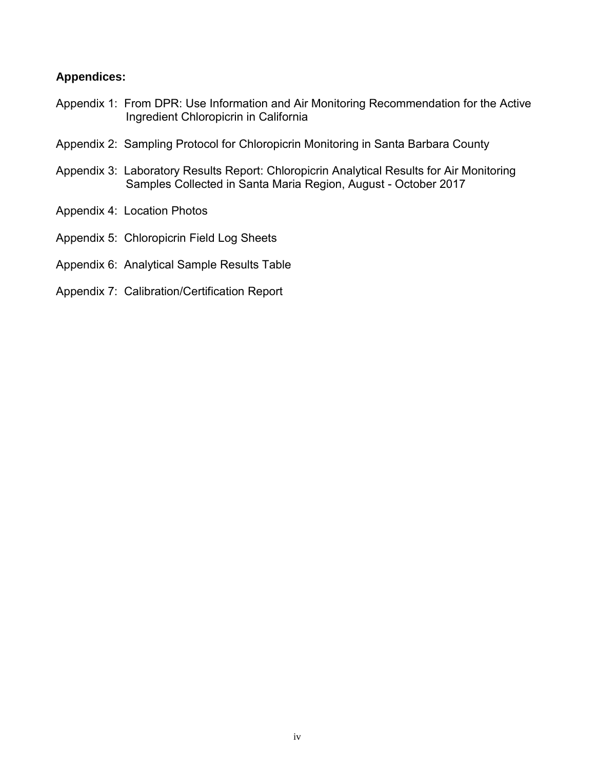# **Appendices:**

- Appendix 1: From DPR: Use Information and Air Monitoring Recommendation for the Active Ingredient Chloropicrin in California
- Appendix 2: Sampling Protocol for Chloropicrin Monitoring in Santa Barbara County
- Appendix 3: Laboratory Results Report: Chloropicrin Analytical Results for Air Monitoring Samples Collected in Santa Maria Region, August - October 2017
- Appendix 4: Location Photos
- Appendix 5: Chloropicrin Field Log Sheets
- Appendix 6: Analytical Sample Results Table
- Appendix 7: Calibration/Certification Report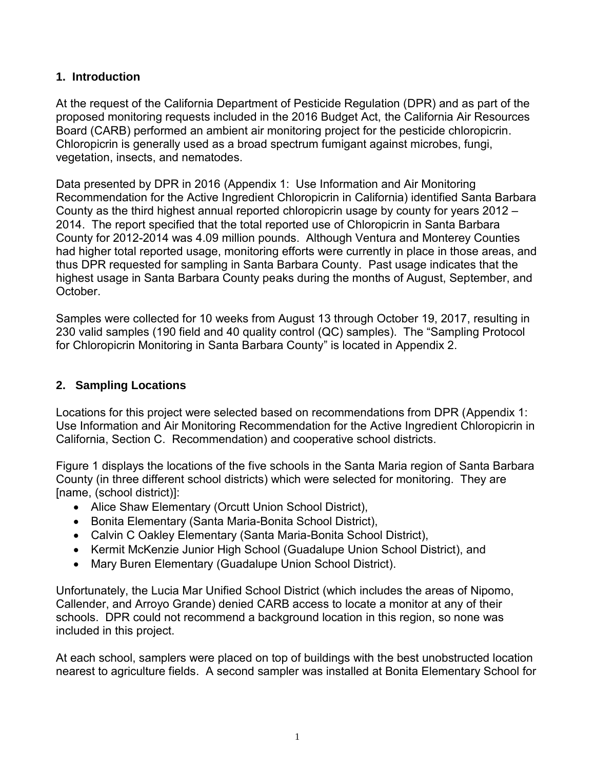### **1. Introduction**

At the request of the California Department of Pesticide Regulation (DPR) and as part of the proposed monitoring requests included in the 2016 Budget Act, the California Air Resources Board (CARB) performed an ambient air monitoring project for the pesticide chloropicrin. Chloropicrin is generally used as a broad spectrum fumigant against microbes, fungi, vegetation, insects, and nematodes.

Data presented by DPR in 2016 (Appendix 1: Use Information and Air Monitoring Recommendation for the Active Ingredient Chloropicrin in California) identified Santa Barbara County as the third highest annual reported chloropicrin usage by county for years 2012 – 2014. The report specified that the total reported use of Chloropicrin in Santa Barbara County for 2012-2014 was 4.09 million pounds. Although Ventura and Monterey Counties had higher total reported usage, monitoring efforts were currently in place in those areas, and thus DPR requested for sampling in Santa Barbara County. Past usage indicates that the highest usage in Santa Barbara County peaks during the months of August, September, and October.

Samples were collected for 10 weeks from August 13 through October 19, 2017, resulting in 230 valid samples (190 field and 40 quality control (QC) samples). The "Sampling Protocol for Chloropicrin Monitoring in Santa Barbara County" is located in Appendix 2.

# **2. Sampling Locations**

Locations for this project were selected based on recommendations from DPR (Appendix 1: Use Information and Air Monitoring Recommendation for the Active Ingredient Chloropicrin in California, Section C. Recommendation) and cooperative school districts.

Figure 1 displays the locations of the five schools in the Santa Maria region of Santa Barbara County (in three different school districts) which were selected for monitoring. They are [name, (school district)]:

- Alice Shaw Elementary (Orcutt Union School District),
- Bonita Elementary (Santa Maria-Bonita School District),
- Calvin C Oakley Elementary (Santa Maria-Bonita School District),
- Kermit McKenzie Junior High School (Guadalupe Union School District), and
- Mary Buren Elementary (Guadalupe Union School District).

Unfortunately, the Lucia Mar Unified School District (which includes the areas of Nipomo, Callender, and Arroyo Grande) denied CARB access to locate a monitor at any of their schools. DPR could not recommend a background location in this region, so none was included in this project.

At each school, samplers were placed on top of buildings with the best unobstructed location nearest to agriculture fields. A second sampler was installed at Bonita Elementary School for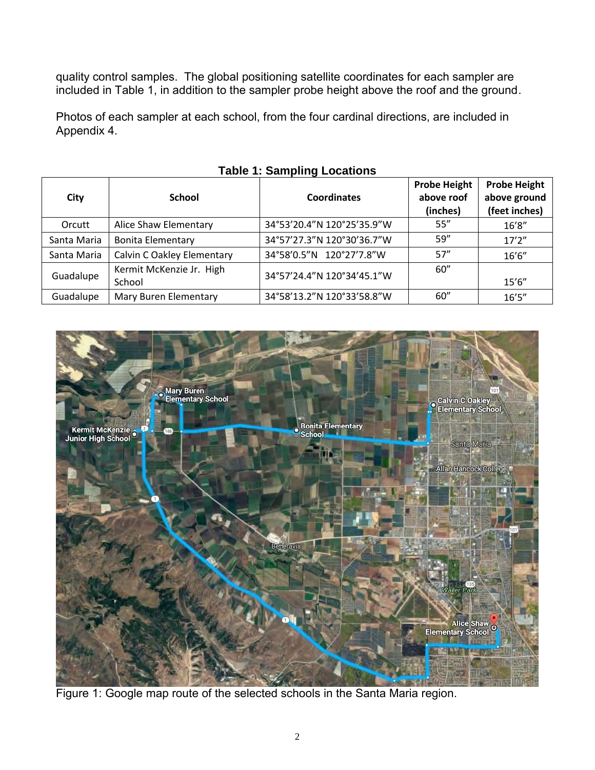quality control samples. The global positioning satellite coordinates for each sampler are included in Table 1, in addition to the sampler probe height above the roof and the ground.

Photos of each sampler at each school, from the four cardinal directions, are included in Appendix 4.

| City        | <b>School</b>                      | <b>Coordinates</b>         | <b>Probe Height</b><br>above roof<br>(inches) | <b>Probe Height</b><br>above ground<br>(feet inches) |
|-------------|------------------------------------|----------------------------|-----------------------------------------------|------------------------------------------------------|
| Orcutt      | Alice Shaw Elementary              | 34°53'20.4"N 120°25'35.9"W | 55''                                          | 16'8''                                               |
| Santa Maria | <b>Bonita Elementary</b>           | 34°57'27.3"N 120°30'36.7"W | 59''                                          | 17'2''                                               |
| Santa Maria | Calvin C Oakley Elementary         | 34°58'0.5"N 120°27'7.8"W   | 57''                                          | 16'6''                                               |
| Guadalupe   | Kermit McKenzie Jr. High<br>School | 34°57'24.4"N 120°34'45.1"W | 60''                                          | 15'6''                                               |
| Guadalupe   | Mary Buren Elementary              | 34°58'13.2"N 120°33'58.8"W | 60''                                          | 16'5''                                               |

### **Table 1: Sampling Locations**

**Probe Height** 

┑



Figure 1: Google map route of the selected schools in the Santa Maria region.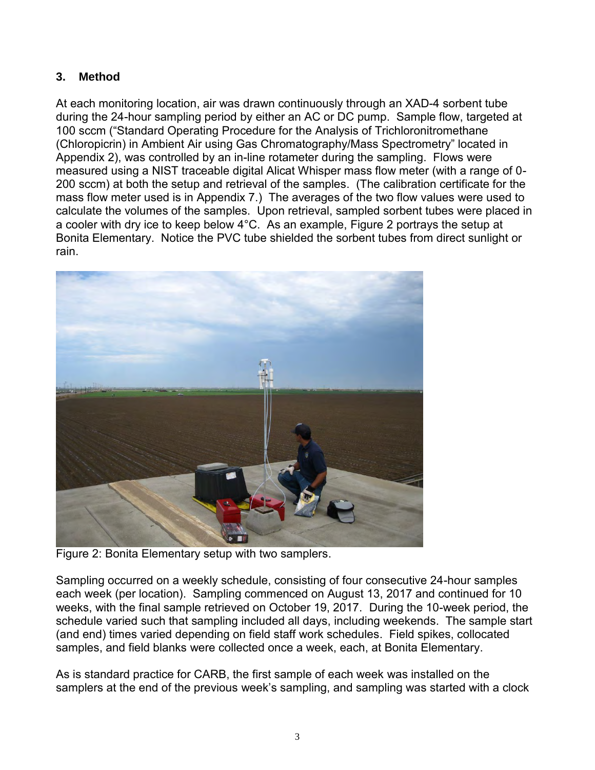# **3. Method**

At each monitoring location, air was drawn continuously through an XAD-4 sorbent tube during the 24-hour sampling period by either an AC or DC pump. Sample flow, targeted at 100 sccm ("Standard Operating Procedure for the Analysis of Trichloronitromethane (Chloropicrin) in Ambient Air using Gas Chromatography/Mass Spectrometry" located in Appendix 2), was controlled by an in-line rotameter during the sampling. Flows were measured using a NIST traceable digital Alicat Whisper mass flow meter (with a range of 0- 200 sccm) at both the setup and retrieval of the samples. (The calibration certificate for the mass flow meter used is in Appendix 7.)The averages of the two flow values were used to calculate the volumes of the samples. Upon retrieval, sampled sorbent tubes were placed in a cooler with dry ice to keep below 4°C. As an example, Figure 2 portrays the setup at Bonita Elementary. Notice the PVC tube shielded the sorbent tubes from direct sunlight or rain.



Figure 2: Bonita Elementary setup with two samplers.

Sampling occurred on a weekly schedule, consisting of four consecutive 24-hour samples each week (per location). Sampling commenced on August 13, 2017 and continued for 10 weeks, with the final sample retrieved on October 19, 2017. During the 10-week period, the schedule varied such that sampling included all days, including weekends. The sample start (and end) times varied depending on field staff work schedules. Field spikes, collocated samples, and field blanks were collected once a week, each, at Bonita Elementary.

As is standard practice for CARB, the first sample of each week was installed on the samplers at the end of the previous week's sampling, and sampling was started with a clock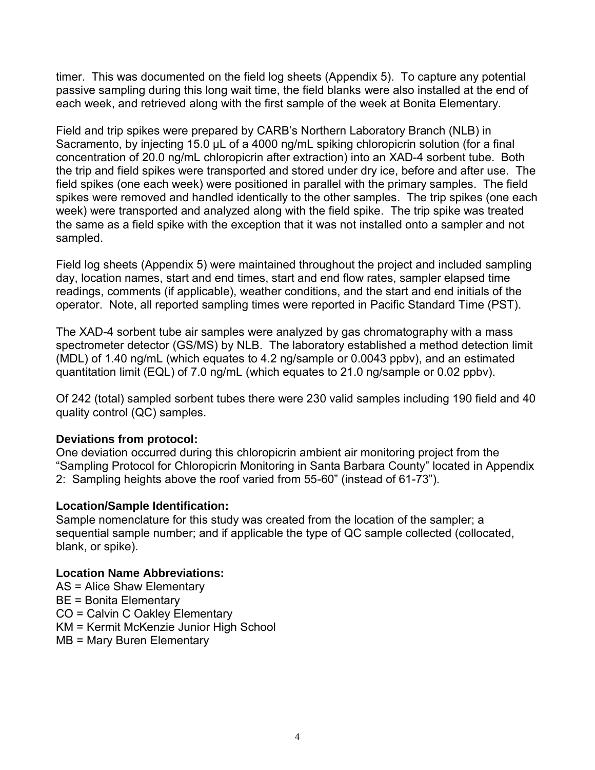timer. This was documented on the field log sheets (Appendix 5). To capture any potential passive sampling during this long wait time, the field blanks were also installed at the end of each week, and retrieved along with the first sample of the week at Bonita Elementary.

Field and trip spikes were prepared by CARB's Northern Laboratory Branch (NLB) in Sacramento, by injecting 15.0 µL of a 4000 ng/mL spiking chloropicrin solution (for a final concentration of 20.0 ng/mL chloropicrin after extraction) into an XAD-4 sorbent tube. Both the trip and field spikes were transported and stored under dry ice, before and after use. The field spikes (one each week) were positioned in parallel with the primary samples. The field spikes were removed and handled identically to the other samples. The trip spikes (one each week) were transported and analyzed along with the field spike. The trip spike was treated the same as a field spike with the exception that it was not installed onto a sampler and not sampled.

Field log sheets (Appendix 5) were maintained throughout the project and included sampling day, location names, start and end times, start and end flow rates, sampler elapsed time readings, comments (if applicable), weather conditions, and the start and end initials of the operator. Note, all reported sampling times were reported in Pacific Standard Time (PST).

The XAD-4 sorbent tube air samples were analyzed by gas chromatography with a mass spectrometer detector (GS/MS) by NLB. The laboratory established a method detection limit (MDL) of 1.40 ng/mL (which equates to 4.2 ng/sample or 0.0043 ppbv), and an estimated quantitation limit (EQL) of 7.0 ng/mL (which equates to 21.0 ng/sample or 0.02 ppbv).

Of 242 (total) sampled sorbent tubes there were 230 valid samples including 190 field and 40 quality control (QC) samples.

#### **Deviations from protocol:**

One deviation occurred during this chloropicrin ambient air monitoring project from the "Sampling Protocol for Chloropicrin Monitoring in Santa Barbara County" located in Appendix 2: Sampling heights above the roof varied from 55-60" (instead of 61-73").

#### **Location/Sample Identification:**

Sample nomenclature for this study was created from the location of the sampler; a sequential sample number; and if applicable the type of QC sample collected (collocated, blank, or spike).

#### **Location Name Abbreviations:**

- AS = Alice Shaw Elementary
- BE = Bonita Elementary
- CO = Calvin C Oakley Elementary
- KM = Kermit McKenzie Junior High School
- MB = Mary Buren Elementary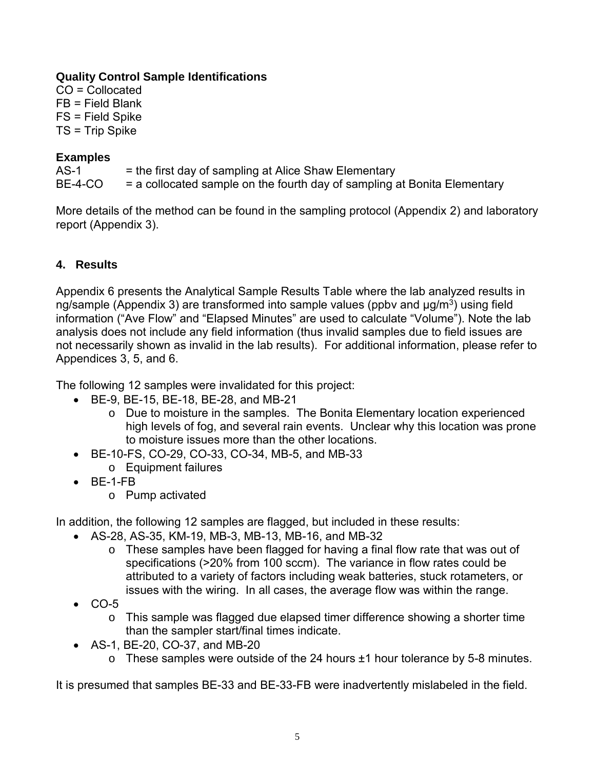### **Quality Control Sample Identifications**

CO = Collocated FB = Field Blank FS = Field Spike TS = Trip Spike

# **Examples**

 $AS-1$  = the first day of sampling at Alice Shaw Elementary  $BE-4-CO$  = a collocated sample on the fourth day of sampling at Bonita Elementary

More details of the method can be found in the sampling protocol (Appendix 2) and laboratory report (Appendix 3).

# **4. Results**

Appendix 6 presents the Analytical Sample Results Table where the lab analyzed results in ng/sample (Appendix 3) are transformed into sample values (ppbv and  $\mu$ g/m $^3$ ) using field information ("Ave Flow" and "Elapsed Minutes" are used to calculate "Volume"). Note the lab analysis does not include any field information (thus invalid samples due to field issues are not necessarily shown as invalid in the lab results). For additional information, please refer to Appendices 3, 5, and 6.

The following 12 samples were invalidated for this project:

- BE-9, BE-15, BE-18, BE-28, and MB-21
	- o Due to moisture in the samples. The Bonita Elementary location experienced high levels of fog, and several rain events. Unclear why this location was prone to moisture issues more than the other locations.
- BE-10-FS, CO-29, CO-33, CO-34, MB-5, and MB-33
	- o Equipment failures
- BE-1-FB
	- o Pump activated

In addition, the following 12 samples are flagged, but included in these results:

- AS-28, AS-35, KM-19, MB-3, MB-13, MB-16, and MB-32
	- o These samples have been flagged for having a final flow rate that was out of specifications (>20% from 100 sccm). The variance in flow rates could be attributed to a variety of factors including weak batteries, stuck rotameters, or issues with the wiring. In all cases, the average flow was within the range.
- $\bullet$  CO-5
	- o This sample was flagged due elapsed timer difference showing a shorter time than the sampler start/final times indicate.
- AS-1, BE-20, CO-37, and MB-20
	- $\circ$  These samples were outside of the 24 hours  $\pm 1$  hour tolerance by 5-8 minutes.

It is presumed that samples BE-33 and BE-33-FB were inadvertently mislabeled in the field.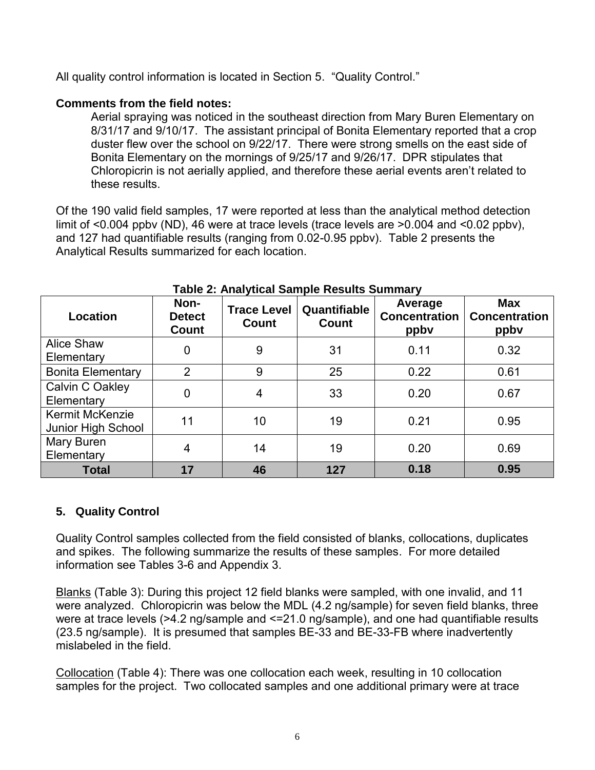All quality control information is located in Section 5. "Quality Control."

# **Comments from the field notes:**

Aerial spraying was noticed in the southeast direction from Mary Buren Elementary on 8/31/17 and 9/10/17. The assistant principal of Bonita Elementary reported that a crop duster flew over the school on 9/22/17. There were strong smells on the east side of Bonita Elementary on the mornings of 9/25/17 and 9/26/17. DPR stipulates that Chloropicrin is not aerially applied, and therefore these aerial events aren't related to these results.

Of the 190 valid field samples, 17 were reported at less than the analytical method detection limit of <0.004 ppbv (ND), 46 were at trace levels (trace levels are >0.004 and <0.02 ppbv), and 127 had quantifiable results (ranging from 0.02-0.95 ppbv). Table 2 presents the Analytical Results summarized for each location.

| Location                                     | Non-<br><b>Detect</b><br><b>Count</b> | <b>Trace Level</b><br><b>Count</b> | Quantifiable<br><b>Count</b> | Average<br><b>Concentration</b><br>ppby | <b>Max</b><br><b>Concentration</b><br>ppby |
|----------------------------------------------|---------------------------------------|------------------------------------|------------------------------|-----------------------------------------|--------------------------------------------|
| <b>Alice Shaw</b><br>Elementary              | $\mathbf 0$                           | 9                                  | 31                           | 0.11                                    | 0.32                                       |
| <b>Bonita Elementary</b>                     | $\overline{2}$                        | 9                                  | 25                           | 0.22                                    | 0.61                                       |
| Calvin C Oakley<br>Elementary                | $\Omega$                              | 4                                  | 33                           | 0.20                                    | 0.67                                       |
| <b>Kermit McKenzie</b><br>Junior High School | 11                                    | 10                                 | 19                           | 0.21                                    | 0.95                                       |
| Mary Buren<br>Elementary                     | 4                                     | 14                                 | 19                           | 0.20                                    | 0.69                                       |
| <b>Total</b>                                 | 17                                    | 46                                 | 127                          | 0.18                                    | 0.95                                       |

### **Table 2: Analytical Sample Results Summary**

# **5. Quality Control**

Quality Control samples collected from the field consisted of blanks, collocations, duplicates and spikes. The following summarize the results of these samples. For more detailed information see Tables 3-6 and Appendix 3.

Blanks (Table 3): During this project 12 field blanks were sampled, with one invalid, and 11 were analyzed. Chloropicrin was below the MDL (4.2 ng/sample) for seven field blanks, three were at trace levels (>4.2 ng/sample and <=21.0 ng/sample), and one had quantifiable results (23.5 ng/sample). It is presumed that samples BE-33 and BE-33-FB where inadvertently mislabeled in the field.

Collocation (Table 4): There was one collocation each week, resulting in 10 collocation samples for the project. Two collocated samples and one additional primary were at trace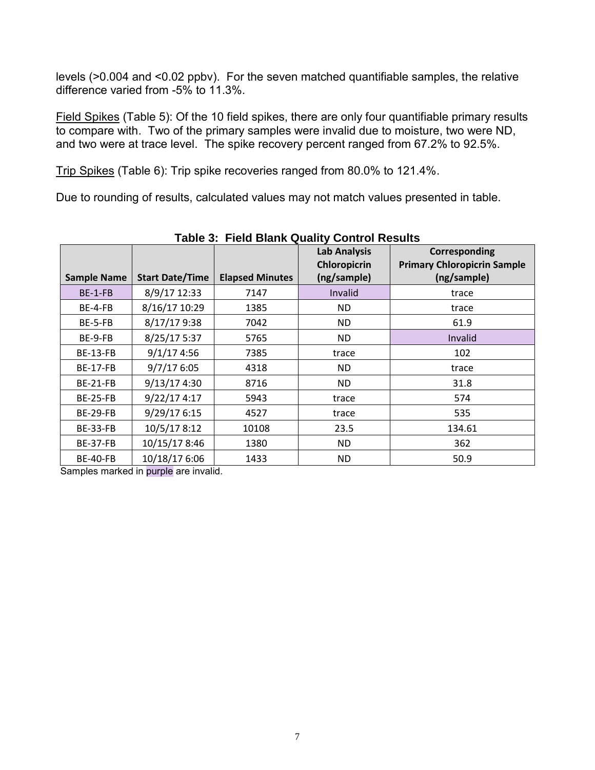levels (>0.004 and <0.02 ppbv). For the seven matched quantifiable samples, the relative difference varied from -5% to 11.3%.

Field Spikes (Table 5): Of the 10 field spikes, there are only four quantifiable primary results to compare with. Two of the primary samples were invalid due to moisture, two were ND, and two were at trace level. The spike recovery percent ranged from 67.2% to 92.5%.

Trip Spikes (Table 6): Trip spike recoveries ranged from 80.0% to 121.4%.

Due to rounding of results, calculated values may not match values presented in table.

| Table J. Tield Dialin Quality Collect Results |                        |                        |                                                    |                                                                    |  |  |  |
|-----------------------------------------------|------------------------|------------------------|----------------------------------------------------|--------------------------------------------------------------------|--|--|--|
| <b>Sample Name</b>                            | <b>Start Date/Time</b> | <b>Elapsed Minutes</b> | <b>Lab Analysis</b><br>Chloropicrin<br>(ng/sample) | Corresponding<br><b>Primary Chloropicrin Sample</b><br>(ng/sample) |  |  |  |
| BE-1-FB                                       | 8/9/17 12:33           | 7147                   | Invalid                                            | trace                                                              |  |  |  |
| BE-4-FB                                       | 8/16/17 10:29          | 1385                   | ND.                                                | trace                                                              |  |  |  |
| BE-5-FB                                       | 8/17/17 9:38           | 7042                   | ND.                                                | 61.9                                                               |  |  |  |
| BE-9-FB                                       | 8/25/17 5:37           | 5765                   | ND.                                                | Invalid                                                            |  |  |  |
| <b>BE-13-FB</b>                               | 9/1/174:56             | 7385                   | trace                                              | 102                                                                |  |  |  |
| <b>BE-17-FB</b>                               | 9/7/176:05             | 4318                   | ND.                                                | trace                                                              |  |  |  |
| <b>BE-21-FB</b>                               | 9/13/17 4:30           | 8716                   | ND.                                                | 31.8                                                               |  |  |  |
| <b>BE-25-FB</b>                               | 9/22/17 4:17           | 5943                   | trace                                              | 574                                                                |  |  |  |
| <b>BE-29-FB</b>                               | 9/29/17 6:15           | 4527                   | trace                                              | 535                                                                |  |  |  |
| <b>BE-33-FB</b>                               | 10/5/17 8:12           | 10108                  | 23.5                                               | 134.61                                                             |  |  |  |
| <b>BE-37-FB</b>                               | 10/15/17 8:46          | 1380                   | ND.                                                | 362                                                                |  |  |  |
| <b>BE-40-FB</b>                               | 10/18/17 6:06          | 1433                   | ND.                                                | 50.9                                                               |  |  |  |

**Table 3: Field Blank Quality Control Results** 

Samples marked in purple are invalid.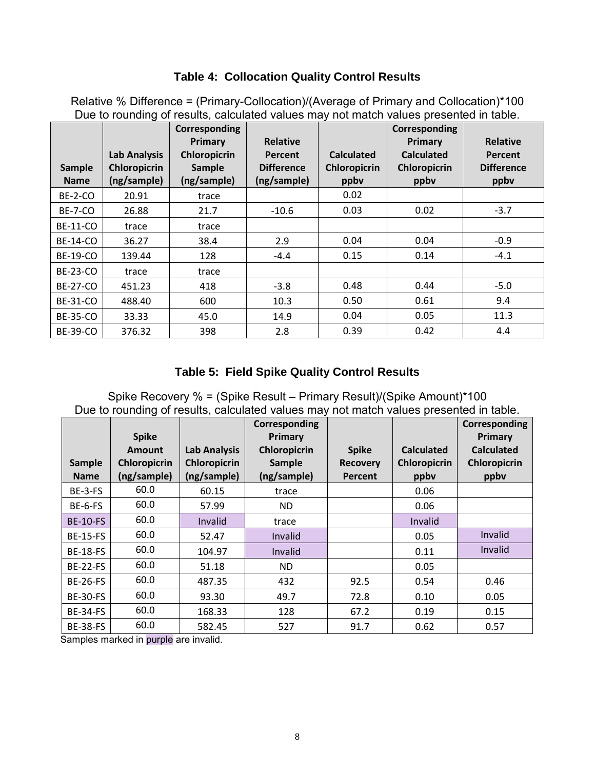# **Table 4: Collocation Quality Control Results**

|                 |                     | Corresponding<br>Primary | <b>Relative</b>   |                     | Corresponding<br>Primary | <b>Relative</b>   |
|-----------------|---------------------|--------------------------|-------------------|---------------------|--------------------------|-------------------|
|                 | <b>Lab Analysis</b> | <b>Chloropicrin</b>      | <b>Percent</b>    | <b>Calculated</b>   | <b>Calculated</b>        | Percent           |
| <b>Sample</b>   | <b>Chloropicrin</b> | Sample                   | <b>Difference</b> | <b>Chloropicrin</b> | <b>Chloropicrin</b>      | <b>Difference</b> |
| <b>Name</b>     | (ng/sample)         | (ng/sample)              | (ng/sample)       | ppby                | ppby                     | ppby              |
| BE-2-CO         | 20.91               | trace                    |                   | 0.02                |                          |                   |
| <b>BE-7-CO</b>  | 26.88               | 21.7                     | $-10.6$           | 0.03                | 0.02                     | $-3.7$            |
| <b>BE-11-CO</b> | trace               | trace                    |                   |                     |                          |                   |
| <b>BE-14-CO</b> | 36.27               | 38.4                     | 2.9               | 0.04                | 0.04                     | $-0.9$            |
| <b>BE-19-CO</b> | 139.44              | 128                      | $-4.4$            | 0.15                | 0.14                     | $-4.1$            |
| <b>BE-23-CO</b> | trace               | trace                    |                   |                     |                          |                   |
| <b>BE-27-CO</b> | 451.23              | 418                      | $-3.8$            | 0.48                | 0.44                     | $-5.0$            |
| <b>BE-31-CO</b> | 488.40              | 600                      | 10.3              | 0.50                | 0.61                     | 9.4               |
| <b>BE-35-CO</b> | 33.33               | 45.0                     | 14.9              | 0.04                | 0.05                     | 11.3              |
| <b>BE-39-CO</b> | 376.32              | 398                      | 2.8               | 0.39                | 0.42                     | 4.4               |

Relative % Difference = (Primary-Collocation)/(Average of Primary and Collocation)\*100 Due to rounding of results, calculated values may not match values presented in table.

# **Table 5: Field Spike Quality Control Results**

Spike Recovery % = (Spike Result – Primary Result)/(Spike Amount)\*100 Due to rounding of results, calculated values may not match values presented in table.

|                 | <b>Spike</b>        |                     | Corresponding<br>Primary |                 |                     | Corresponding<br>Primary |
|-----------------|---------------------|---------------------|--------------------------|-----------------|---------------------|--------------------------|
|                 | <b>Amount</b>       | <b>Lab Analysis</b> | Chloropicrin             | <b>Spike</b>    | <b>Calculated</b>   | <b>Calculated</b>        |
| Sample          | <b>Chloropicrin</b> | <b>Chloropicrin</b> | <b>Sample</b>            | <b>Recovery</b> | <b>Chloropicrin</b> | Chloropicrin             |
| <b>Name</b>     | (ng/sample)         | (ng/sample)         | (ng/sample)              | Percent         | ppbv                | ppby                     |
| BE-3-FS         | 60.0                | 60.15               | trace                    |                 | 0.06                |                          |
| BE-6-FS         | 60.0                | 57.99               | ND.                      |                 | 0.06                |                          |
| <b>BE-10-FS</b> | 60.0                | Invalid             | trace                    |                 | Invalid             |                          |
| <b>BE-15-FS</b> | 60.0                | 52.47               | Invalid                  |                 | 0.05                | Invalid                  |
| <b>BE-18-FS</b> | 60.0                | 104.97              | Invalid                  |                 | 0.11                | Invalid                  |
| <b>BE-22-FS</b> | 60.0                | 51.18               | ND.                      |                 | 0.05                |                          |
| <b>BE-26-FS</b> | 60.0                | 487.35              | 432                      | 92.5            | 0.54                | 0.46                     |
| <b>BE-30-FS</b> | 60.0                | 93.30               | 49.7                     | 72.8            | 0.10                | 0.05                     |
| <b>BE-34-FS</b> | 60.0                | 168.33              | 128                      | 67.2            | 0.19                | 0.15                     |
| <b>BE-38-FS</b> | 60.0                | 582.45              | 527                      | 91.7            | 0.62                | 0.57                     |

Samples marked in purple are invalid.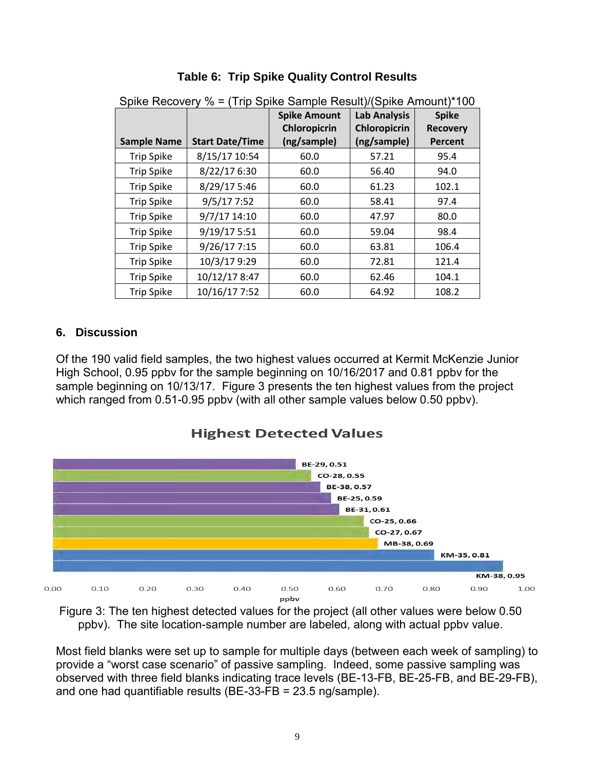|                    |                        | <b>Spike Amount</b><br>Chloropicrin | <b>Lab Analysis</b><br><b>Chloropicrin</b> | <b>Spike</b><br><b>Recovery</b> |
|--------------------|------------------------|-------------------------------------|--------------------------------------------|---------------------------------|
| <b>Sample Name</b> | <b>Start Date/Time</b> | (ng/sample)                         | (ng/sample)                                | <b>Percent</b>                  |
| <b>Trip Spike</b>  | 8/15/17 10:54          | 60.0                                | 57.21                                      | 95.4                            |
| <b>Trip Spike</b>  | 8/22/17 6:30           | 60.0                                | 56.40                                      | 94.0                            |
| <b>Trip Spike</b>  | 8/29/17 5:46           | 60.0                                | 61.23                                      | 102.1                           |
| <b>Trip Spike</b>  | 9/5/177:52             | 60.0                                | 58.41                                      | 97.4                            |
| <b>Trip Spike</b>  | 9/7/17 14:10           | 60.0                                | 47.97                                      | 80.0                            |
| <b>Trip Spike</b>  | 9/19/17 5:51           | 60.0                                | 59.04                                      | 98.4                            |
| <b>Trip Spike</b>  | 9/26/17 7:15           | 60.0                                | 63.81                                      | 106.4                           |
| <b>Trip Spike</b>  | 10/3/17 9:29           | 60.0                                | 72.81                                      | 121.4                           |
| <b>Trip Spike</b>  | 10/12/17 8:47          | 60.0                                | 62.46                                      | 104.1                           |
| <b>Trip Spike</b>  | 10/16/17 7:52          | 60.0                                | 64.92                                      | 108.2                           |

# **Table 6: Trip Spike Quality Control Results**

#### Spike Recovery % = (Trip Spike Sample Result)/(Spike Amount)\*100

### **6. Discussion**

Of the 190 valid field samples, the two highest values occurred at Kermit McKenzie Junior High School, 0.95 ppbv for the sample beginning on 10/16/2017 and 0.81 ppbv for the sample beginning on 10/13/17. Figure 3 presents the ten highest values from the project which ranged from 0.51-0.95 ppbv (with all other sample values below 0.50 ppbv).

**Highest Detected Values** 



Figure 3: The ten highest detected values for the project (all other values were below 0.50 ppbv). The site location-sample number are labeled, along with actual ppbv value.

Most field blanks were set up to sample for multiple days (between each week of sampling) to provide a "worst case scenario" of passive sampling. Indeed, some passive sampling was observed with three field blanks indicating trace levels (BE-13-FB, BE-25-FB, and BE-29-FB), and one had quantifiable results (BE-33-FB = 23.5 ng/sample).